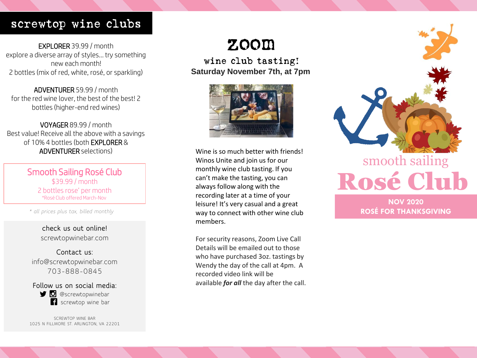### screwtop wine clubs

EXPLORER 39.99 / month explore a diverse array of styles… try something new each month! 2 bottles (mix of red, white, rosé, or sparkling)

ADVENTURER 59.99 / month for the red wine lover, the best of the best! 2 bottles (higher-end red wines)

VOYAGER 89.99 / month Best value! Receive all the above with a savings of 10% 4 bottles (both EXPLORER & ADVENTURER selections)

> Smooth Sailing Rosé Club \$39.99 / month 2 bottles rose' per month \*Rosé Club offered March-Nov

*\* all prices plus tax, billed monthly*

**check us out online!** screwtopwinebar.com

**Contact us:** info@screwtopwinebar.com 703-888-0845

**Follow us on social media: D** @screwtopwinebar **f** screwtop wine bar

SCREWTOP WINE BAR 1025 N FILLMORE ST. ARLINGTON, VA 22201

# zoom

wine club tasting! **Saturday November 7th, at 7pm**



Wine is so much better with friends! Winos Unite and join us for our monthly wine club tasting. If you can't make the tasting, you can always follow along with the recording later at a time of your leisure! It's very casual and a great way to connect with other wine club members.

For security reasons, Zoom Live Call Details will be emailed out to those who have purchased 3oz. tastings by Wendy the day of the call at 4pm. A recorded video link will be available *for all* the day after the call.



### **NOV 2020 ROSÉ FOR THANKSGIVING**